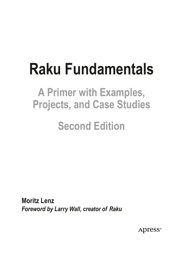# **Raku Fundamentals**

### **A Primer with Examples, Projects, and Case Studies**

### **Second Edition**

**Moritz Lenz** *Foreword by Larry Wall, creator of Raku*

Apress<sup>®</sup>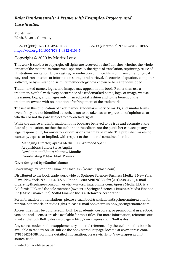### *Raku Fundamentals: A Primer with Examples, Projects, and Case Studies*

Moritz Lenz Fürth, Bayern, Germany

#### ISBN-13 (pbk): 978-1-4842-6108-8 ISBN-13 (electronic): 978-1-4842-6109-5 <https://doi.org/10.1007/978-1-4842-6109-5>

#### Copyright © 2020 by Moritz Lenz

This work is subject to copyright. All rights are reserved by the Publisher, whether the whole or part of the material is concerned, specifically the rights of translation, reprinting, reuse of illustrations, recitation, broadcasting, reproduction on microfilms or in any other physical way, and transmission or information storage and retrieval, electronic adaptation, computer software, or by similar or dissimilar methodology now known or hereafter developed.

Trademarked names, logos, and images may appear in this book. Rather than use a trademark symbol with every occurrence of a trademarked name, logo, or image, we use the names, logos, and images only in an editorial fashion and to the benefit of the trademark owner, with no intention of infringement of the trademark.

The use in this publication of trade names, trademarks, service marks, and similar terms, even if they are not identified as such, is not to be taken as an expression of opinion as to whether or not they are subject to proprietary rights.

While the advice and information in this book are believed to be true and accurate at the date of publication, neither the author nor the editors nor the publisher can accept any legal responsibility for any errors or omissions that may be made. The publisher makes no warranty, express or implied, with respect to the material contained herein.

Managing Director, Apress Media LLC: Welmoed Spahr Acquisitions Editor: Steve Anglin Development Editor: Matthew Moodie Coordinating Editor: Mark Powers

Cover designed by eStudioCalamar

Cover image by Stephen Hume on Unsplash (www.unsplash.com)

Distributed to the book trade worldwide by Springer Science+Business Media, 1 New York Plaza, New York, NY 10004, U.S.A.. Phone 1-800-SPRINGER, fax (201) 348-4505, e-mail orders-ny@springer-sbm.com, or visit www.springeronline.com. Apress Media, LLC is a California LLC and the sole member (owner) is Springer Science + Business Media Finance Inc (SSBM Finance Inc). SSBM Finance Inc is a **Delaware** corporation.

For information on translations, please e-mail booktranslations@springernature.com; for reprint, paperback, or audio rights, please e-mail bookpermissions@springernature.com.

Apress titles may be purchased in bulk for academic, corporate, or promotional use. eBook versions and licenses are also available for most titles. For more information, reference our Print and eBook Bulk Sales web page at http://www.apress.com/bulk-sales.

Any source code or other supplementary material referenced by the author in this book is available to readers on GitHub via the book's product page, located at www.apress.com/ 9781484261088. For more detailed information, please visit http://www.apress.com/ source-code.

Printed on acid-free paper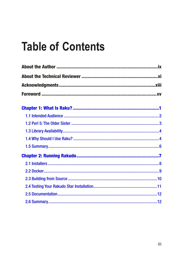# **Table of Contents**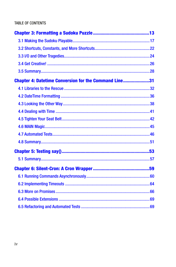| <b>Chapter 4: Datetime Conversion for the Command Line31</b> |  |
|--------------------------------------------------------------|--|
|                                                              |  |
|                                                              |  |
|                                                              |  |
|                                                              |  |
|                                                              |  |
|                                                              |  |
|                                                              |  |
|                                                              |  |
|                                                              |  |
|                                                              |  |
|                                                              |  |
|                                                              |  |
|                                                              |  |
|                                                              |  |
|                                                              |  |
|                                                              |  |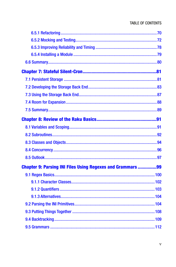| <b>Chapter 9: Parsing INI Files Using Regexes and Grammars 99</b> |  |
|-------------------------------------------------------------------|--|
|                                                                   |  |
|                                                                   |  |
|                                                                   |  |
|                                                                   |  |
|                                                                   |  |
|                                                                   |  |
|                                                                   |  |
|                                                                   |  |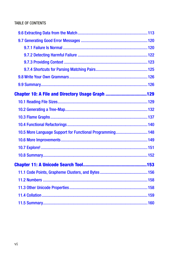| Chapter 10: A File and Directory Usage Graph 129          |  |
|-----------------------------------------------------------|--|
|                                                           |  |
|                                                           |  |
|                                                           |  |
|                                                           |  |
| 10.5 More Language Support for Functional Programming 148 |  |
|                                                           |  |
|                                                           |  |
|                                                           |  |
|                                                           |  |
|                                                           |  |
|                                                           |  |
|                                                           |  |
|                                                           |  |
|                                                           |  |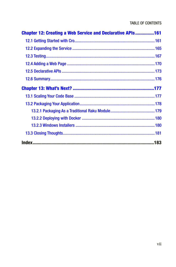| <b>Chapter 12: Creating a Web Service and Declarative APIs 161</b> |  |
|--------------------------------------------------------------------|--|
|                                                                    |  |
|                                                                    |  |
|                                                                    |  |
|                                                                    |  |
|                                                                    |  |
|                                                                    |  |
|                                                                    |  |
|                                                                    |  |
|                                                                    |  |
|                                                                    |  |
|                                                                    |  |
|                                                                    |  |
|                                                                    |  |
|                                                                    |  |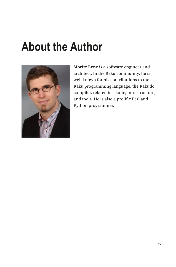## **About the Author**



**Moritz Lenz** is a software engineer and architect. In the Raku community, he is well known for his contributions to the Raku programming language, the Rakudo compiler, related test suite, infrastructure, and tools. He is also a prolific Perl and Python programmer.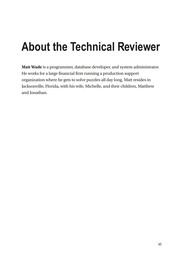# **About the Technical Reviewer**

**Matt Wade** is a programmer, database developer, and system administrator. He works for a large financial firm running a production support organization where he gets to solve puzzles all day long. Matt resides in Jacksonville, Florida, with his wife, Michelle, and their children, Matthew and Jonathan.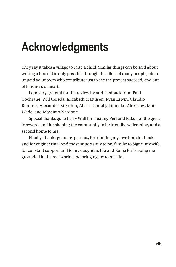# **Acknowledgments**

They say it takes a village to raise a child. Similar things can be said about writing a book. It is only possible through the effort of many people, often unpaid volunteers who contribute just to see the project succeed, and out of kindness of heart.

I am very grateful for the review by and feedback from Paul Cochrane, Will Coleda, Elizabeth Mattijsen, Ryan Erwin, Claudio Ramirez, Alexander Kiryuhin, Aleks-Daniel Jakimenko-Aleksejev, Matt Wade, and Massimo Nardone.

Special thanks go to Larry Wall for creating Perl and Raku, for the great foreword, and for shaping the community to be friendly, welcoming, and a second home to me.

Finally, thanks go to my parents, for kindling my love both for books and for engineering. And most importantly to my family: to Signe, my wife, for constant support and to my daughters Ida and Ronja for keeping me grounded in the real world, and bringing joy to my life.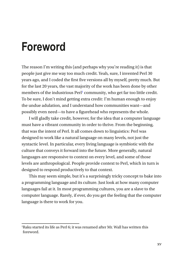### **Foreword**

The reason I'm writing this (and perhaps why you're reading it) is that people just give me way too much credit. Yeah, sure, I invented Perl 30 years ago, and I coded the first five versions all by myself, pretty much. But for the last 20 years, the vast majority of the work has been done by other members of the industrious Perl<sup>1</sup> community, who get far too little credit. To be sure, I don't mind getting extra credit: I'm human enough to enjoy the undue adulation, and I understand how communities want—and possibly even need—to have a figurehead who represents the whole.

I will gladly take credit, however, for the idea that a computer language must have a vibrant community in order to thrive. From the beginning, that was the intent of Perl. It all comes down to linguistics: Perl was designed to work like a natural language on many levels, not just the syntactic level. In particular, every living language is symbiotic with the culture that conveys it forward into the future. More generally, natural languages are responsive to context on every level, and some of those levels are anthropological. People provide context to Perl, which in turn is designed to respond productively to that context.

This may seem simple, but it's a surprisingly tricky concept to bake into a programming language and its culture. Just look at how many computer languages fail at it. In most programming cultures, you are a slave to the computer language. Rarely, if ever, do you get the feeling that the computer language is there to work for you.

<span id="page-10-0"></span><sup>1</sup> Raku started its life as Perl 6; it was renamed after Mr. Wall has written this foreword.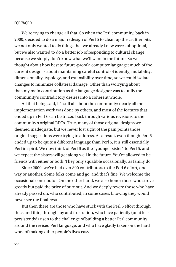#### **FOREWORD**

We're trying to change all that. So when the Perl community, back in 2000, decided to do a major redesign of Perl 5 to clean up the cruftier bits, we not only wanted to fix things that we already knew were suboptimal, but we also wanted to do a better job of responding to cultural change, because we simply don't know what we'll want in the future. So we thought about how best to future-proof a computer language; much of the current design is about maintaining careful control of identity, mutability, dimensionality, typology, and extensibility over time, so we could isolate changes to minimize collateral damage. Other than worrying about that, my main contribution as the language designer was to unify the community's contradictory desires into a coherent whole.

All that being said, it's still all about the community: nearly all the implementation work was done by others, and most of the features that ended up in Perl 6 can be traced back through various revisions to the community's original RFCs. True, many of those original designs we deemed inadequate, but we never lost sight of the pain points those original suggestions were trying to address. As a result, even though Perl 6 ended up to be quite a different language than Perl 5, it is still essentially Perl in spirit. We now think of Perl 6 as the "younger sister" to Perl 5, and we expect the sisters will get along well in the future. You're allowed to be friends with either or both. They only squabble occasionally, as family do.

Since 2000, we've had over 800 contributors to the Perl 6 effort, one way or another. Some folks come and go, and that's fine. We welcome the occasional contributor. On the other hand, we also honor those who strove greatly but paid the price of burnout. And we deeply revere those who have already passed on, who contributed, in some cases, knowing they would never see the final result.

But then there are those who have stuck with the Perl 6 effort through thick and thin, through joy and frustration, who have patiently (or at least persistently!) risen to the challenge of building a better Perl community around the revised Perl language, and who have gladly taken on the hard work of making other people's lives easy.